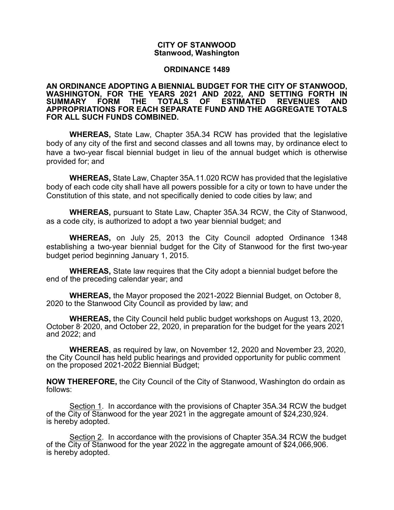# **CITY OF STANWOOD Stanwood, Washington**

### **ORDINANCE 1489**

#### **AN ORDINANCE ADOPTING A BIENNIAL BUDGET FOR THE CITY OF STANWOOD, WASHINGTON, FOR THE YEARS 2021 AND 2022, AND SETTING FORTH IN ESTIMATED APPROPRIATIONS FOR EACH SEPARATE FUND AND THE AGGREGATE TOTALS FOR ALL SUCH FUNDS COMBINED.**

**WHEREAS,** State Law, Chapter 35A.34 RCW has provided that the legislative body of any city of the first and second classes and all towns may, by ordinance elect to have a two-year fiscal biennial budget in lieu of the annual budget which is otherwise provided for; and

**WHEREAS,** State Law, Chapter 35A.11.020 RCW has provided that the legislative body of each code city shall have all powers possible for a city or town to have under the Constitution of this state, and not specifically denied to code cities by law; and

**WHEREAS,** pursuant to State Law, Chapter 35A.34 RCW, the City of Stanwood, as a code city, is authorized to adopt a two year biennial budget; and

**WHEREAS,** on July 25, 2013 the City Council adopted Ordinance 1348 establishing a two-year biennial budget for the City of Stanwood for the first two-year budget period beginning January 1, 2015.

**WHEREAS,** State law requires that the City adopt a biennial budget before the end of the preceding calendar year; and

**WHEREAS,** the Mayor proposed the 2021-2022 Biennial Budget, on October 8, 2020 to the Stanwood City Council as provided by law; and

**WHEREAS,** the City Council held public budget workshops on August 13, 2020, October 8, 2020, and October 22, 2020, in preparation for the budget for the years 2021 and 2022; and

**WHEREAS**, as required by law, on November 12, 2020 and November 23, 2020, the City Council has held public hearings and provided opportunity for public comment on the proposed 2021-2022 Biennial Budget;

**NOW THEREFORE,** the City Council of the City of Stanwood, Washington do ordain as follows:

Section 1. In accordance with the provisions of Chapter 35A.34 RCW the budget of the City of Stanwood for the year 2021 in the aggregate amount of \$24,230,924. is hereby adopted.

Section 2. In accordance with the provisions of Chapter 35A.34 RCW the budget of the City of Stanwood for the year 2022 in the aggregate amount of \$24,066,906. is hereby adopted.